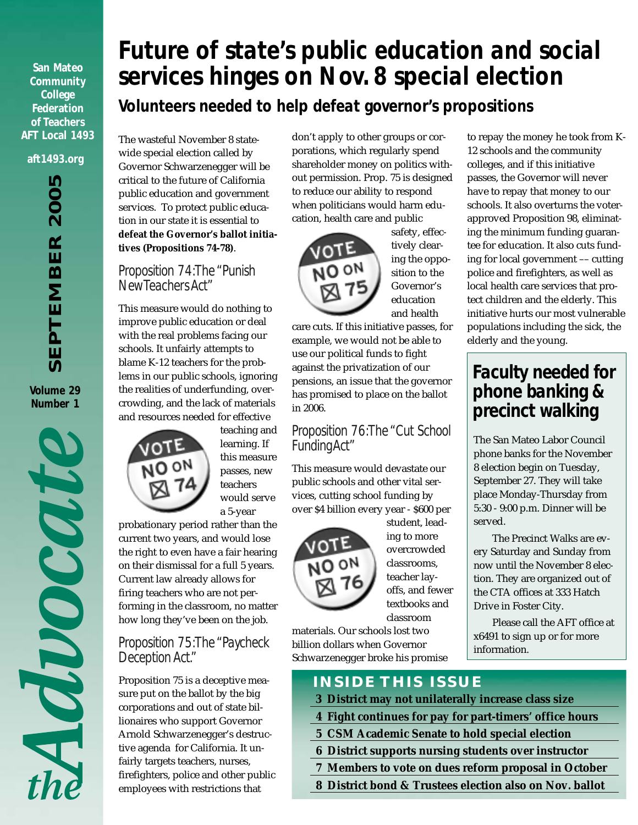**San Mateo Community College Federation of Teachers AFT Local 1493**

#### **aft1493.org**

SEPTEMBER 2005 *SEPTEMBER 2005*

**Volume 29 Number 1**



# *Future of state's public education and social services hinges on Nov. 8 special election Volunteers needed to help defeat governor's propositions*

The wasteful November 8 statewide special election called by Governor Schwarzenegger will be critical to the future of California public education and government services. To protect public education in our state it is essential to **defeat the Governor's ballot initiatives (Propositions 74-78)**.

### *Proposition 74: The "Punish New Teachers Act"*

This measure would do nothing to improve public education or deal with the real problems facing our schools. It unfairly attempts to blame K-12 teachers for the problems in our public schools, ignoring the realities of underfunding, overcrowding, and the lack of materials and resources needed for effective



teaching and learning. If this measure passes, new teachers would serve a 5-year

probationary period rather than the current two years, and would lose the right to even have a fair hearing on their dismissal for a full 5 years. Current law already allows for firing teachers who are not performing in the classroom, no matter how long they've been on the job.

### *Proposition 75: The "Paycheck Deception Act."*

Proposition 75 is a deceptive measure put on the ballot by the big corporations and out of state billionaires who support Governor Arnold Schwarzenegger's destructive agenda for California. It unfairly targets teachers, nurses, firefighters, police and other public employees with restrictions that

don't apply to other groups or corporations, which regularly spend shareholder money on politics without permission. Prop. 75 is designed to reduce our ability to respond when politicians would harm education, health care and public



safety, effectively clearing the opposition to the Governor's education and health

care cuts. If this initiative passes, for example, we would not be able to use our political funds to fight against the privatization of our pensions, an issue that the governor has promised to place on the ballot in 2006.

### *Proposition 76: The "Cut School Funding Act"*

This measure would devastate our public schools and other vital services, cutting school funding by over \$4 billion every year - \$600 per



student, leading to more overcrowded classrooms, teacher layoffs, and fewer textbooks and classroom

materials. Our schools lost two billion dollars when Governor Schwarzenegger broke his promise

### **INSIDE THIS ISSUE**

- **3 District may not unilaterally increase class size**
- **4 Fight continues for pay for part-timers' office hours**
- **5 CSM Academic Senate to hold special election**
- **6 District supports nursing students over instructor**
- **7 Members to vote on dues reform proposal in October**
- **8 District bond & Trustees election also on Nov. ballot**

to repay the money he took from K-12 schools and the community colleges, and if this initiative passes, the Governor will never have to repay that money to our schools. It also overturns the voterapproved Proposition 98, eliminating the minimum funding guarantee for education. It also cuts funding for local government –– cutting police and firefighters, as well as local health care services that protect children and the elderly. This initiative hurts our most vulnerable populations including the sick, the elderly and the young.

### *Faculty needed for phone banking & precinct walking*

The San Mateo Labor Council phone banks for the November 8 election begin on Tuesday, September 27. They will take place Monday-Thursday from 5:30 - 9:00 p.m. Dinner will be served.

The Precinct Walks are every Saturday and Sunday from now until the November 8 election. They are organized out of the CTA offices at 333 Hatch Drive in Foster City.

Please call the AFT office at x6491 to sign up or for more information.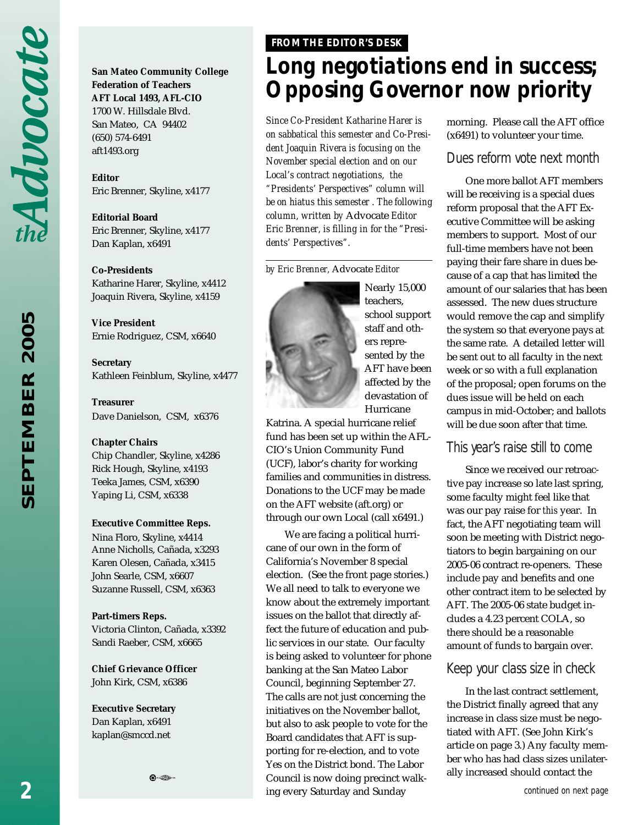**San Mateo Community College Federation of Teachers AFT Local 1493, AFL-CIO** 1700 W. Hillsdale Blvd. San Mateo, CA 94402 (650) 574-6491 aft1493.org

**Editor** Eric Brenner, Skyline, x4177

**Editorial Board** Eric Brenner, Skyline, x4177 Dan Kaplan, x6491

**Co-Presidents** Katharine Harer, Skyline, x4412 Joaquin Rivera, Skyline, x4159

**Vice President** Ernie Rodriguez, CSM, x6640

**Secretary** Kathleen Feinblum, Skyline, x4477

**Treasurer** Dave Danielson, CSM, x6376

#### **Chapter Chairs**

Chip Chandler, Skyline, x4286 Rick Hough, Skyline, x4193 Teeka James, CSM, x6390 Yaping Li, CSM, x6338

#### **Executive Committee Reps.**

Nina Floro, Skyline, x4414 Anne Nicholls, Cañada, x3293 Karen Olesen, Cañada, x3415 John Searle, CSM, x6607 Suzanne Russell, CSM, x6363

**Part-timers Reps.**

Victoria Clinton, Cañada, x3392 Sandi Raeber, CSM, x6665

8. ...

**Chief Grievance Officer** John Kirk, CSM, x6386

**Executive Secretary** Dan Kaplan, x6491 kaplan@smccd.net

### *FROM THE EDITOR'S DESK*

# *Long negotiations end in success; Opposing Governor now priority*

*Since Co-President Katharine Harer is on sabbatical this semester and Co-President Joaquin Rivera is focusing on the November special election and on our Local's contract negotiations, the "Presidents' Perspectives" column will be on hiatus this semester . The following column, written by* Advocate *Editor Eric Brenner, is filling in for the "Presidents' Perspectives".*

*by Eric Brenner,* Advocate *Editor*



Nearly 15,000 teachers, school support staff and others represented by the AFT have been affected by the devastation of Hurricane

Katrina. A special hurricane relief fund has been set up within the AFL-CIO's Union Community Fund (UCF), labor's charity for working families and communities in distress. Donations to the UCF may be made on the AFT website (aft.org) or through our own Local (call x6491.)

We are facing a political hurricane of our own in the form of California's November 8 special election. (See the front page stories.) We all need to talk to everyone we know about the extremely important issues on the ballot that directly affect the future of education and public services in our state. Our faculty is being asked to volunteer for phone banking at the San Mateo Labor Council, beginning September 27. The calls are not just concerning the initiatives on the November ballot, but also to ask people to vote for the Board candidates that AFT is supporting for re-election, and to vote Yes on the District bond. The Labor Council is now doing precinct walking every Saturday and Sunday

morning. Please call the AFT office (x6491) to volunteer your time.

### *Dues reform vote next month*

One more ballot AFT members will be receiving is a special dues reform proposal that the AFT Executive Committee will be asking members to support. Most of our full-time members have not been paying their fare share in dues because of a cap that has limited the amount of our salaries that has been assessed. The new dues structure would remove the cap and simplify the system so that everyone pays at the same rate. A detailed letter will be sent out to all faculty in the next week or so with a full explanation of the proposal; open forums on the dues issue will be held on each campus in mid-October; and ballots will be due soon after that time.

### *This year's raise still to come*

Since we received our retroactive pay increase so late last spring, some faculty might feel like that was our pay raise for *this* year. In fact, the AFT negotiating team will soon be meeting with District negotiators to begin bargaining on our 2005-06 contract re-openers. These include pay and benefits and one other contract item to be selected by AFT. The 2005-06 state budget includes a 4.23 percent COLA, so there should be a reasonable amount of funds to bargain over.

### *Keep your class size in check*

In the last contract settlement, the District finally agreed that any increase in class size must be negotiated with AFT. (See John Kirk's article on page 3.) Any faculty member who has had class sizes unilaterally increased should contact the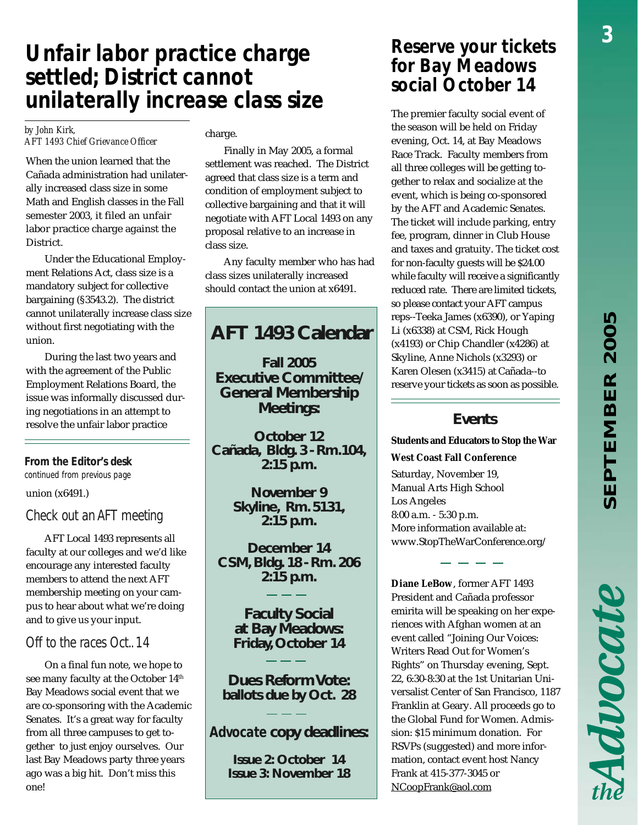Advocate

# *Unfair labor practice charge settled; District cannot unilaterally increase class size*

#### *by John Kirk, AFT 1493 Chief Grievance Officer*

When the union learned that the Cañada administration had unilaterally increased class size in some Math and English classes in the Fall semester 2003, it filed an unfair labor practice charge against the District.

Under the Educational Employment Relations Act, class size is a mandatory subject for collective bargaining (§3543.2). The district cannot unilaterally increase class size without first negotiating with the union.

During the last two years and with the agreement of the Public Employment Relations Board, the issue was informally discussed during negotiations in an attempt to resolve the unfair labor practice

### *From the Editor's desk*

*continued from previous page*

union (x6491.)

### *Check out an AFT meeting*

AFT Local 1493 represents all faculty at our colleges and we'd like encourage any interested faculty members to attend the next AFT membership meeting on your campus to hear about what we're doing and to give us your input.

### *Off to the races Oct.. 14*

On a final fun note, we hope to see many faculty at the October 14<sup>th</sup> Bay Meadows social event that we are co-sponsoring with the Academic Senates. It's a great way for faculty from all three campuses to get together to just enjoy ourselves. Our last Bay Meadows party three years ago was a big hit. Don't miss this one!

#### charge.

Finally in May 2005, a formal settlement was reached. The District agreed that class size is a term and condition of employment subject to collective bargaining and that it will negotiate with AFT Local 1493 on any proposal relative to an increase in class size.

Any faculty member who has had class sizes unilaterally increased should contact the union at x6491.

### **AFT 1493 Calendar**

**Fall 2005 Executive Committee/ General Membership Meetings:**

**October 12 Cañada, Bldg. 3 - Rm.104, 2:15 p.m.**

> **November 9 Skyline, Rm. 5131, 2:15 p.m.**

**December 14 CSM, Bldg. 18 - Rm. 206 2:15 p.m.**

> **Faculty Social at Bay Meadows: Friday, October 14**

**Dues Reform Vote: ballots due by Oct. 28**

### *Advocate* **copy deadlines:**

**Issue 2: October 14 Issue 3: November 18**

### *Reserve your tickets for Bay Meadows social October 14*

The premier faculty social event of the season will be held on Friday evening, Oct. 14, at Bay Meadows Race Track. Faculty members from all three colleges will be getting together to relax and socialize at the event, which is being co-sponsored by the AFT and Academic Senates. The ticket will include parking, entry fee, program, dinner in Club House and taxes and gratuity. The ticket cost for non-faculty guests will be \$24.00 while faculty will receive a significantly reduced rate. There are limited tickets, so please contact your AFT campus reps--Teeka James (x6390), or Yaping Li (x6338) at CSM, Rick Hough (x4193) or Chip Chandler (x4286) at Skyline, Anne Nichols (x3293) or Karen Olesen (x3415) at Cañada--to reserve your tickets as soon as possible.

### **Events**

**Students and Educators to Stop the War West Coast Fall Conference**

Saturday, November 19, Manual Arts High School Los Angeles 8:00 a.m. - 5:30 p.m. More information available at: www.StopTheWarConference.org/

**Diane LeBow**, former AFT 1493 President and Cañada professor emirita will be speaking on her experiences with Afghan women at an event called "Joining Our Voices: Writers Read Out for Women's Rights" on Thursday evening, Sept. 22, 6:30-8:30 at the 1st Unitarian Universalist Center of San Francisco, 1187 Franklin at Geary. All proceeds go to the Global Fund for Women. Admission: \$15 minimum donation. For RSVPs (suggested) and more information, contact event host Nancy Frank at 415-377-3045 or NCoopFrank@aol.com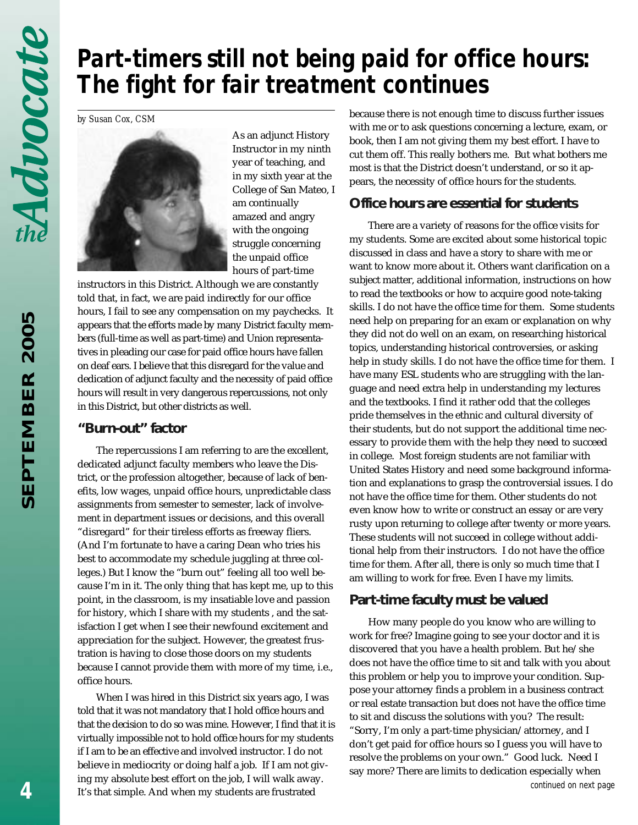# *Part-timers still not being paid for office hours: The fight for fair treatment continues*

*by Susan Cox, CSM*



As an adjunct History Instructor in my ninth year of teaching, and in my sixth year at the College of San Mateo, I am continually amazed and angry with the ongoing struggle concerning the unpaid office hours of part-time

instructors in this District. Although we are constantly told that, in fact, we are paid indirectly for our office hours, I fail to see any compensation on my paychecks. It appears that the efforts made by many District faculty members (full-time as well as part-time) and Union representatives in pleading our case for paid office hours have fallen on deaf ears. I believe that this disregard for the value and dedication of adjunct faculty and the necessity of paid office hours will result in very dangerous repercussions, not only in this District, but other districts as well.

### **"Burn-out" factor**

The repercussions I am referring to are the excellent, dedicated adjunct faculty members who leave the District, or the profession altogether, because of lack of benefits, low wages, unpaid office hours, unpredictable class assignments from semester to semester, lack of involvement in department issues or decisions, and this overall "disregard" for their tireless efforts as freeway fliers. (And I'm fortunate to have a caring Dean who tries his best to accommodate my schedule juggling at three colleges.) But I know the "burn out" feeling all too well because I'm in it. The only thing that has kept me, up to this point, in the classroom, is my insatiable love and passion for history, which I share with my students , and the satisfaction I get when I see their newfound excitement and appreciation for the subject. However, the greatest frustration is having to close those doors on my students because I cannot provide them with more of my time, i.e., office hours.

When I was hired in this District six years ago, I was told that it was not mandatory that I hold office hours and that the decision to do so was mine. However, I find that it is virtually impossible not to hold office hours for my students if I am to be an effective and involved instructor. I do not believe in mediocrity or doing half a job. If I am not giving my absolute best effort on the job, I will walk away. It's that simple. And when my students are frustrated

because there is not enough time to discuss further issues with me or to ask questions concerning a lecture, exam, or book, then I am not giving them my best effort. I have to cut them off. This really bothers me. But what bothers me most is that the District doesn't understand, or so it appears, the necessity of office hours for the students.

### **Office hours are essential for students**

There are a variety of reasons for the office visits for my students. Some are excited about some historical topic discussed in class and have a story to share with me or want to know more about it. Others want clarification on a subject matter, additional information, instructions on how to read the textbooks or how to acquire good note-taking skills. I do not have the office time for them. Some students need help on preparing for an exam or explanation on why they did not do well on an exam, on researching historical topics, understanding historical controversies, or asking help in study skills. I do not have the office time for them. I have many ESL students who are struggling with the language and need extra help in understanding my lectures and the textbooks. I find it rather odd that the colleges pride themselves in the ethnic and cultural diversity of their students, but do not support the additional time necessary to provide them with the help they need to succeed in college. Most foreign students are not familiar with United States History and need some background information and explanations to grasp the controversial issues. I do not have the office time for them. Other students do not even know how to write or construct an essay or are very rusty upon returning to college after twenty or more years. These students will not succeed in college without additional help from their instructors. I do not have the office time for them. After all, there is only so much time that I am willing to work for free. Even I have my limits.

### **Part-time faculty must be valued**

How many people do you know who are willing to work for free? Imagine going to see your doctor and it is discovered that you have a health problem. But he/she does not have the office time to sit and talk with you about this problem or help you to improve your condition. Suppose your attorney finds a problem in a business contract or real estate transaction but does not have the office time to sit and discuss the solutions with you? The result: "Sorry, I'm only a part-time physician/attorney, and I don't get paid for office hours so I guess you will have to resolve the problems on your own." Good luck. Need I say more? There are limits to dedication especially when *continued on next page*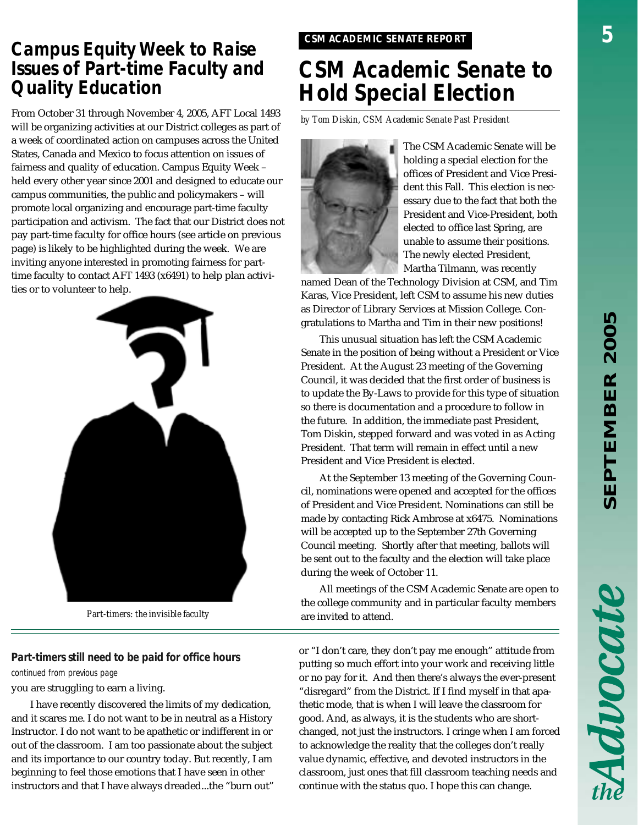## *CSM ACADEMIC SENATE REPORT Campus Equity Week to Raise Issues of Part-time Faculty and Quality Education*

*by Tom Diskin, CSM Academic Senate Past President* From October 31 through November 4, 2005, AFT Local 1493 will be organizing activities at our District colleges as part of a week of coordinated action on campuses across the United States, Canada and Mexico to focus attention on issues of fairness and quality of education. Campus Equity Week – held every other year since 2001 and designed to educate our campus communities, the public and policymakers – will promote local organizing and encourage part-time faculty participation and activism. The fact that our District does not pay part-time faculty for office hours (see article on previous page) is likely to be highlighted during the week. We are inviting anyone interested in promoting fairness for parttime faculty to contact AFT 1493 (x6491) to help plan activities or to volunteer to help.



*Part-timers: the invisible faculty*

### *Part-timers still need to be paid for office hours*

*continued from previous page*

you are struggling to earn a living.

I have recently discovered the limits of my dedication, and it scares me. I do not want to be in neutral as a History Instructor. I do not want to be apathetic or indifferent in or out of the classroom. I am too passionate about the subject and its importance to our country today. But recently, I am beginning to feel those emotions that I have seen in other instructors and that I have always dreaded...the "burn out"

# *CSM Academic Senate to Hold Special Election*



The CSM Academic Senate will be holding a special election for the offices of President and Vice President this Fall. This election is necessary due to the fact that both the President and Vice-President, both elected to office last Spring, are unable to assume their positions. The newly elected President, Martha Tilmann, was recently

named Dean of the Technology Division at CSM, and Tim Karas, Vice President, left CSM to assume his new duties as Director of Library Services at Mission College. Congratulations to Martha and Tim in their new positions!

This unusual situation has left the CSM Academic Senate in the position of being without a President or Vice President. At the August 23 meeting of the Governing Council, it was decided that the first order of business is to update the By-Laws to provide for this type of situation so there is documentation and a procedure to follow in the future. In addition, the immediate past President, Tom Diskin, stepped forward and was voted in as Acting President. That term will remain in effect until a new President and Vice President is elected.

At the September 13 meeting of the Governing Council, nominations were opened and accepted for the offices of President and Vice President. Nominations can still be made by contacting Rick Ambrose at x6475. Nominations will be accepted up to the September 27th Governing Council meeting. Shortly after that meeting, ballots will be sent out to the faculty and the election will take place during the week of October 11.

All meetings of the CSM Academic Senate are open to the college community and in particular faculty members are invited to attend.

or "I don't care, they don't pay me enough" attitude from putting so much effort into your work and receiving little or no pay for it. And then there's always the ever-present "disregard" from the District. If I find myself in that apathetic mode, that is when I will leave the classroom for good. And, as always, it is the students who are shortchanged, not just the instructors. I cringe when I am forced to acknowledge the reality that the colleges don't really value dynamic, effective, and devoted instructors in the classroom, just ones that fill classroom teaching needs and continue with the status quo. I hope this can change.

Advocate

*5*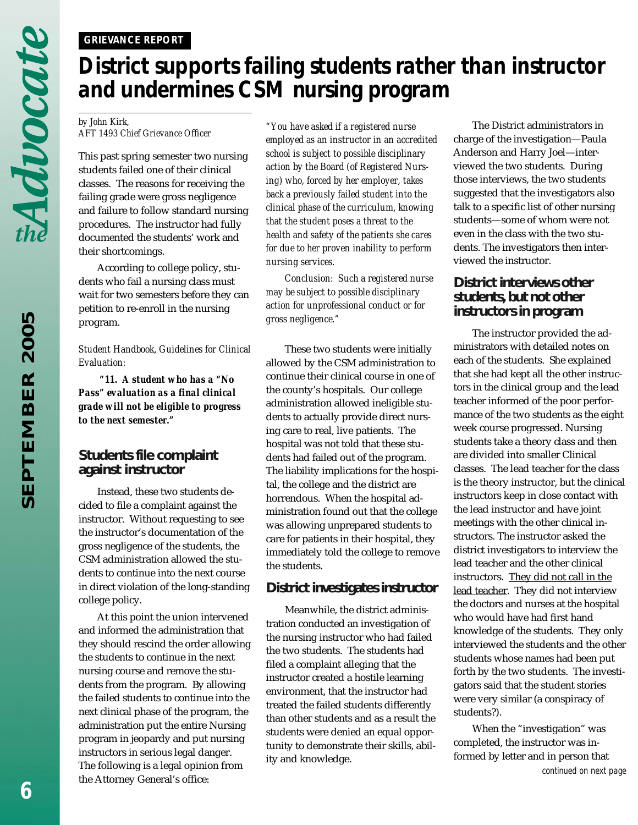### *GRIEVANCE REPORT*

# *District supports failing students rather than instructor and undermines CSM nursing program*

#### *by John Kirk, AFT 1493 Chief Grievance Officer*

This past spring semester two nursing students failed one of their clinical classes. The reasons for receiving the failing grade were gross negligence and failure to follow standard nursing procedures. The instructor had fully documented the students' work and their shortcomings.

According to college policy, students who fail a nursing class must wait for two semesters before they can petition to re-enroll in the nursing program.

*Student Handbook, Guidelines for Clinical Evaluation:*

 *"11. A student who has a "No Pass" evaluation as a final clinical grade will not be eligible to progress to the next semester."*

### **Students file complaint against instructor**

Instead, these two students decided to file a complaint against the instructor. Without requesting to see the instructor's documentation of the gross negligence of the students, the CSM administration allowed the students to continue into the next course in direct violation of the long-standing college policy.

At this point the union intervened and informed the administration that they should rescind the order allowing the students to continue in the next nursing course and remove the students from the program. By allowing the failed students to continue into the next clinical phase of the program, the administration put the entire Nursing program in jeopardy and put nursing instructors in serious legal danger. The following is a legal opinion from the Attorney General's office:

*"You have asked if a registered nurse employed as an instructor in an accredited school is subject to possible disciplinary action by the Board (of Registered Nursing) who, forced by her employer, takes back a previously failed student into the clinical phase of the curriculum, knowing that the student poses a threat to the health and safety of the patients she cares for due to her proven inability to perform nursing services.*

*Conclusion: Such a registered nurse may be subject to possible disciplinary action for unprofessional conduct or for gross negligence."*

These two students were initially allowed by the CSM administration to continue their clinical course in one of the county's hospitals. Our college administration allowed ineligible students to actually provide direct nursing care to real, live patients. The hospital was not told that these students had failed out of the program. The liability implications for the hospital, the college and the district are horrendous. When the hospital administration found out that the college was allowing unprepared students to care for patients in their hospital, they immediately told the college to remove the students.

### **District investigates instructor**

Meanwhile, the district administration conducted an investigation of the nursing instructor who had failed the two students. The students had filed a complaint alleging that the instructor created a hostile learning environment, that the instructor had treated the failed students differently than other students and as a result the students were denied an equal opportunity to demonstrate their skills, ability and knowledge.

The District administrators in charge of the investigation—Paula Anderson and Harry Joel—interviewed the two students. During those interviews, the two students suggested that the investigators also talk to a specific list of other nursing students—some of whom were not even in the class with the two students. The investigators then interviewed the instructor.

### **District interviews other students, but not other instructors in program**

The instructor provided the administrators with detailed notes on each of the students. She explained that she had kept all the other instructors in the clinical group and the lead teacher informed of the poor performance of the two students as the eight week course progressed. Nursing students take a theory class and then are divided into smaller Clinical classes. The lead teacher for the class is the theory instructor, but the clinical instructors keep in close contact with the lead instructor and have joint meetings with the other clinical instructors. The instructor asked the district investigators to interview the lead teacher and the other clinical instructors. They did not call in the lead teacher. They did not interview the doctors and nurses at the hospital who would have had first hand knowledge of the students. They only interviewed the students and the other students whose names had been put forth by the two students. The investigators said that the student stories were very similar (a conspiracy of students?).

When the "investigation" was completed, the instructor was informed by letter and in person that *continued on next page*

*6*

Advocate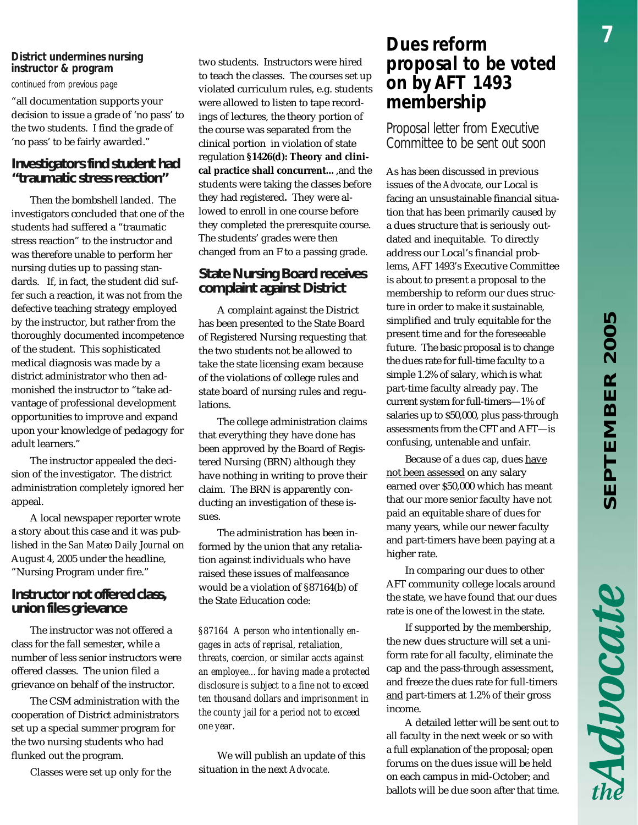### *District undermines nursing instructor & program*

*continued from previous page*

"all documentation supports your decision to issue a grade of 'no pass' to the two students. I find the grade of 'no pass' to be fairly awarded."

### **Investigators find student had "traumatic stress reaction"**

Then the bombshell landed. The investigators concluded that one of the students had suffered a "traumatic stress reaction" to the instructor and was therefore unable to perform her nursing duties up to passing standards. If, in fact, the student did suffer such a reaction, it was not from the defective teaching strategy employed by the instructor, but rather from the thoroughly documented incompetence of the student. This sophisticated medical diagnosis was made by a district administrator who then admonished the instructor to "take advantage of professional development opportunities to improve and expand upon your knowledge of pedagogy for adult learners."

The instructor appealed the decision of the investigator. The district administration completely ignored her appeal.

A local newspaper reporter wrote a story about this case and it was published in the *San Mateo Daily Journal* on August 4, 2005 under the headline, "Nursing Program under fire."

### **Instructor not offered class, union files grievance**

The instructor was not offered a class for the fall semester, while a number of less senior instructors were offered classes. The union filed a grievance on behalf of the instructor.

The CSM administration with the cooperation of District administrators set up a special summer program for the two nursing students who had flunked out the program.

Classes were set up only for the

two students. Instructors were hired to teach the classes. The courses set up violated curriculum rules, e.g. students were allowed to listen to tape recordings of lectures, the theory portion of the course was separated from the clinical portion in violation of state regulation **§1426(d): Theory and clinical practice shall concurrent…**,and the students were taking the classes before they had registered**.** They were allowed to enroll in one course before they completed the preresquite course. The students' grades were then changed from an F to a passing grade.

### **State Nursing Board receives complaint against District**

A complaint against the District has been presented to the State Board of Registered Nursing requesting that the two students not be allowed to take the state licensing exam because of the violations of college rules and state board of nursing rules and regulations.

The college administration claims that everything they have done has been approved by the Board of Registered Nursing (BRN) although they have nothing in writing to prove their claim. The BRN is apparently conducting an investigation of these issues.

The administration has been informed by the union that any retaliation against individuals who have raised these issues of malfeasance would be a violation of §87164(b) of the State Education code:

*§87164 A person who intentionally engages in acts of reprisal, retaliation, threats, coercion, or similar accts against an employee…for having made a protected disclosure is subject to a fine not to exceed ten thousand dollars and imprisonment in the county jail for a period not to exceed one year.*

We will publish an update of this situation in the next *Advocate*.

### *Dues reform proposal to be voted on by AFT 1493 membership*

*Proposal letter from Executive Committee to be sent out soon*

As has been discussed in previous issues of the *Advocate*, our Local is facing an unsustainable financial situation that has been primarily caused by a dues structure that is seriously outdated and inequitable. To directly address our Local's financial problems, AFT 1493's Executive Committee is about to present a proposal to the membership to reform our dues structure in order to make it sustainable, simplified and truly equitable for the present time and for the foreseeable future. The basic proposal is to change the dues rate for full-time faculty to a simple 1.2% of salary, which is what part-time faculty already pay. The current system for full-timers—1% of salaries up to \$50,000, plus pass-through assessments from the CFT and AFT—is confusing, untenable and unfair.

Because of a *dues cap*, dues have not been assessed on any salary earned over \$50,000 which has meant that our more senior faculty have not paid an equitable share of dues for many years, while our newer faculty and part-timers have been paying at a higher rate.

In comparing our dues to other AFT community college locals around the state, we have found that our dues rate is one of the lowest in the state.

If supported by the membership, the new dues structure will set a uniform rate for all faculty, eliminate the cap and the pass-through assessment, and freeze the dues rate for full-timers and part-timers at 1.2% of their gross income.

A detailed letter will be sent out to all faculty in the next week or so with a full explanation of the proposal; open forums on the dues issue will be held on each campus in mid-October; and ballots will be due soon after that time. Advocate